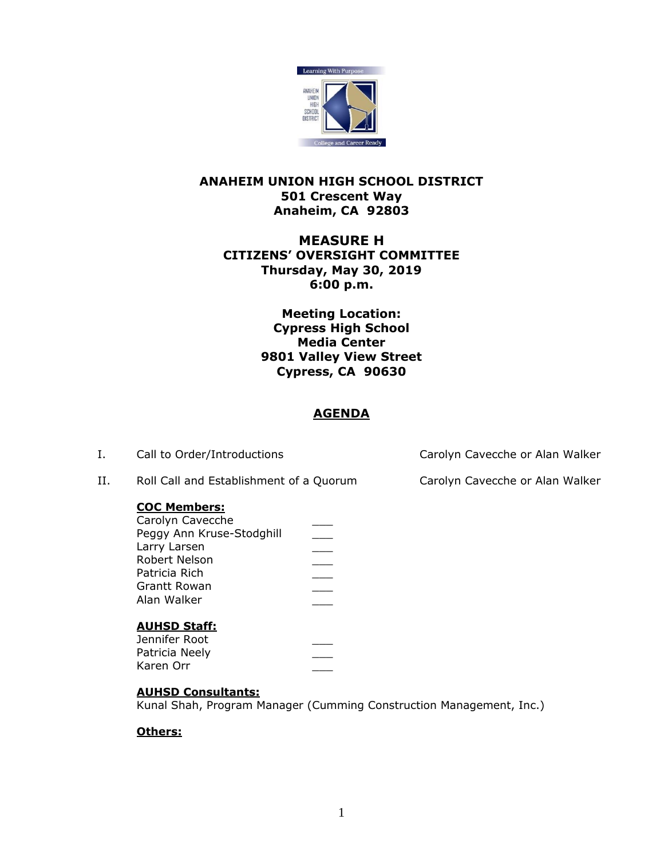

## **ANAHEIM UNION HIGH SCHOOL DISTRICT 501 Crescent Way Anaheim, CA 92803**

# **MEASURE H CITIZENS' OVERSIGHT COMMITTEE Thursday, May 30, 2019 6:00 p.m.**

**Meeting Location: Cypress High School Media Center 9801 Valley View Street Cypress, CA 90630**

# **AGENDA**

I. Call to Order/Introductions Carolyn Cavecche or Alan Walker

II. Roll Call and Establishment of a Quorum Carolyn Cavecche or Alan Walker

### **COC Members:**

| Carolyn Cavecche          |  |
|---------------------------|--|
| Peggy Ann Kruse-Stodghill |  |
| Larry Larsen              |  |
| Robert Nelson             |  |
| Patricia Rich             |  |
| Grantt Rowan              |  |
| Alan Walker               |  |
|                           |  |
|                           |  |

# **AUHSD Staff:**

| Jennifer Root  |  |
|----------------|--|
| Patricia Neely |  |
| Karen Orr      |  |

### **AUHSD Consultants:**

Kunal Shah, Program Manager (Cumming Construction Management, Inc.)

### **Others:**